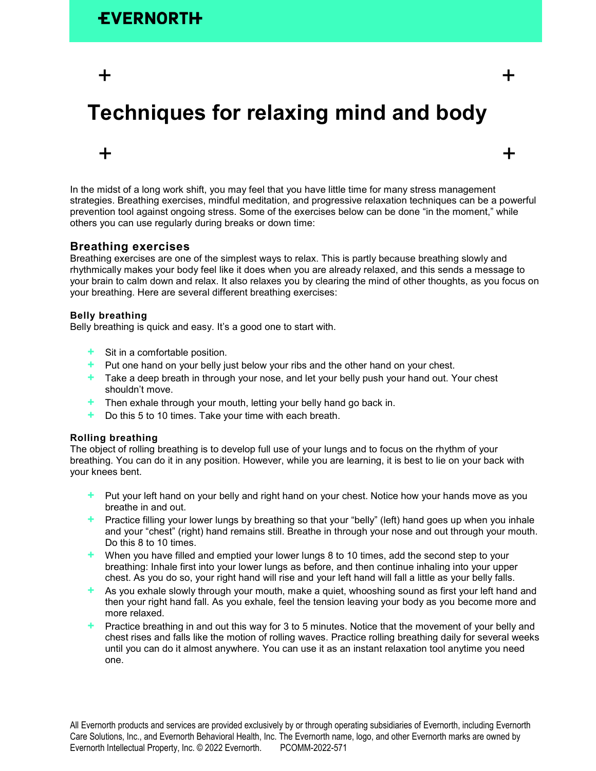$+$   $+$ 

# **Techniques for relaxing mind and body**

In the midst of a long work shift, you may feel that you have little time for many stress management strategies. Breathing exercises, mindful meditation, and progressive relaxation techniques can be a powerful prevention tool against ongoing stress. Some of the exercises below can be done "in the moment," while others you can use regularly during breaks or down time:

 $+$   $+$ 

## **Breathing exercises**

Breathing exercises are one of the simplest ways to relax. This is partly because breathing slowly and rhythmically makes your body feel like it does when you are already relaxed, and this sends a message to your brain to calm down and relax. It also relaxes you by clearing the mind of other thoughts, as you focus on your breathing. Here are several different breathing exercises:

### **Belly breathing**

Belly breathing is quick and easy. It's a good one to start with.

- **+** Sit in a comfortable position.
- **+** Put one hand on your belly just below your ribs and the other hand on your chest.
- **+** Take a deep breath in through your nose, and let your belly push your hand out. Your chest shouldn't move.
- **+** Then exhale through your mouth, letting your belly hand go back in.
- **+** Do this 5 to 10 times. Take your time with each breath.

#### **Rolling breathing**

The object of rolling breathing is to develop full use of your lungs and to focus on the rhythm of your breathing. You can do it in any position. However, while you are learning, it is best to lie on your back with your knees bent.

- **+** Put your left hand on your belly and right hand on your chest. Notice how your hands move as you breathe in and out.
- **+** Practice filling your lower lungs by breathing so that your "belly" (left) hand goes up when you inhale and your "chest" (right) hand remains still. Breathe in through your nose and out through your mouth. Do this 8 to 10 times.
- **+** When you have filled and emptied your lower lungs 8 to 10 times, add the second step to your breathing: Inhale first into your lower lungs as before, and then continue inhaling into your upper chest. As you do so, your right hand will rise and your left hand will fall a little as your belly falls.
- **+** As you exhale slowly through your mouth, make a quiet, whooshing sound as first your left hand and then your right hand fall. As you exhale, feel the tension leaving your body as you become more and more relaxed.
- **+** Practice breathing in and out this way for 3 to 5 minutes. Notice that the movement of your belly and chest rises and falls like the motion of rolling waves. Practice rolling breathing daily for several weeks until you can do it almost anywhere. You can use it as an instant relaxation tool anytime you need one.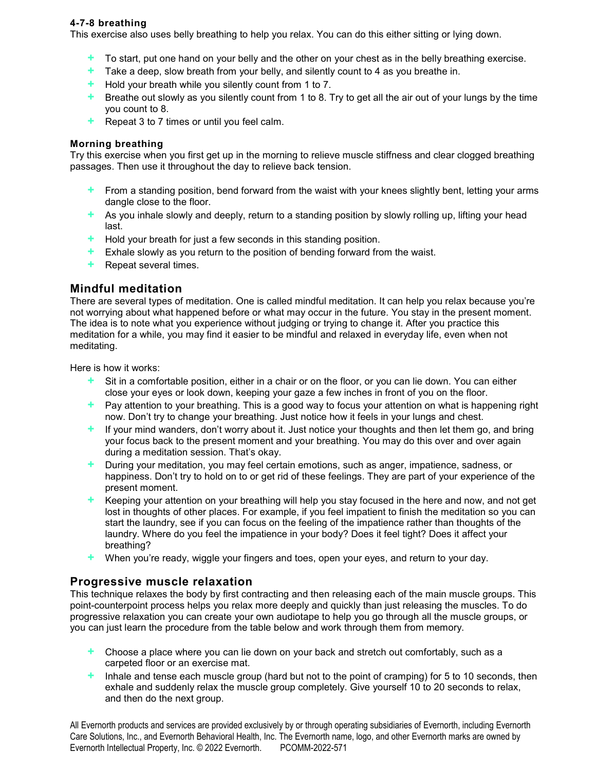## **4-7-8 breathing**

This exercise also uses belly breathing to help you relax. You can do this either sitting or lying down.

- **+** To start, put one hand on your belly and the other on your chest as in the belly breathing exercise.
- **+** Take a deep, slow breath from your belly, and silently count to 4 as you breathe in.
- **+** Hold your breath while you silently count from 1 to 7.
- **+** Breathe out slowly as you silently count from 1 to 8. Try to get all the air out of your lungs by the time you count to 8.
- **+** Repeat 3 to 7 times or until you feel calm.

### **Morning breathing**

Try this exercise when you first get up in the morning to relieve muscle stiffness and clear clogged breathing passages. Then use it throughout the day to relieve back tension.

- **+** From a standing position, bend forward from the waist with your knees slightly bent, letting your arms dangle close to the floor.
- **+** As you inhale slowly and deeply, return to a standing position by slowly rolling up, lifting your head last.
- **+** Hold your breath for just a few seconds in this standing position.
- **+** Exhale slowly as you return to the position of bending forward from the waist.
- **+** Repeat several times.

# **Mindful meditation**

There are several types of meditation. One is called mindful meditation. It can help you relax because you're not worrying about what happened before or what may occur in the future. You stay in the present moment. The idea is to note what you experience without judging or trying to change it. After you practice this meditation for a while, you may find it easier to be mindful and relaxed in everyday life, even when not meditating.

Here is how it works:

- **+** Sit in a comfortable position, either in a chair or on the floor, or you can lie down. You can either close your eyes or look down, keeping your gaze a few inches in front of you on the floor.
- **+** Pay attention to your breathing. This is a good way to focus your attention on what is happening right now. Don't try to change your breathing. Just notice how it feels in your lungs and chest.
- **+** If your mind wanders, don't worry about it. Just notice your thoughts and then let them go, and bring your focus back to the present moment and your breathing. You may do this over and over again during a meditation session. That's okay.
- **+** During your meditation, you may feel certain emotions, such as anger, impatience, sadness, or happiness. Don't try to hold on to or get rid of these feelings. They are part of your experience of the present moment.
- **+** Keeping your attention on your breathing will help you stay focused in the here and now, and not get lost in thoughts of other places. For example, if you feel impatient to finish the meditation so you can start the laundry, see if you can focus on the feeling of the impatience rather than thoughts of the laundry. Where do you feel the impatience in your body? Does it feel tight? Does it affect your breathing?
- **+** When you're ready, wiggle your fingers and toes, open your eyes, and return to your day.

# **Progressive muscle relaxation**

This technique relaxes the body by first contracting and then releasing each of the main muscle groups. This point-counterpoint process helps you relax more deeply and quickly than just releasing the muscles. To do progressive relaxation you can create your own audiotape to help you go through all the muscle groups, or you can just learn the procedure from the table below and work through them from memory.

- **+** Choose a place where you can lie down on your back and stretch out comfortably, such as a carpeted floor or an exercise mat.
- **+** Inhale and tense each muscle group (hard but not to the point of cramping) for 5 to 10 seconds, then exhale and suddenly relax the muscle group completely. Give yourself 10 to 20 seconds to relax, and then do the next group.

All Evernorth products and services are provided exclusively by or through operating subsidiaries of Evernorth, including Evernorth Care Solutions, Inc., and Evernorth Behavioral Health, Inc. The Evernorth name, logo, and other Evernorth marks are owned by Evernorth Intellectual Property, Inc. © 2022 Evernorth. PCOMM-2022-571